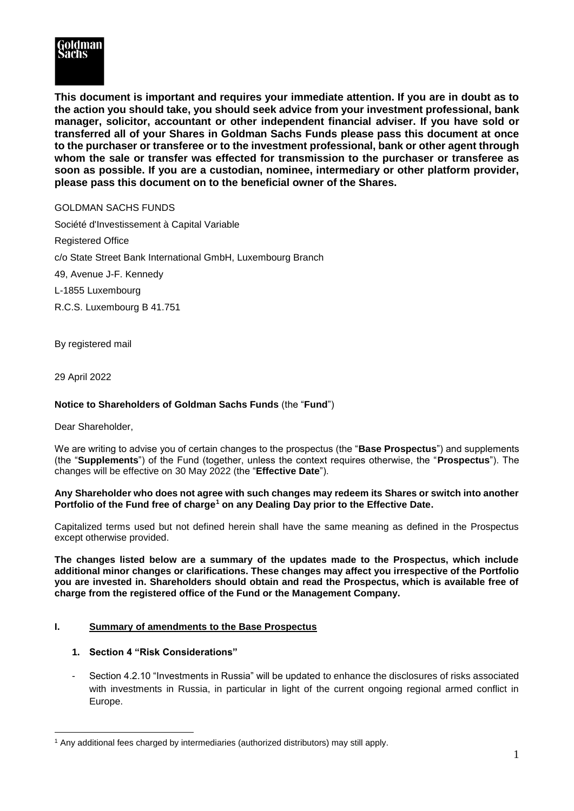

**This document is important and requires your immediate attention. If you are in doubt as to the action you should take, you should seek advice from your investment professional, bank manager, solicitor, accountant or other independent financial adviser. If you have sold or transferred all of your Shares in Goldman Sachs Funds please pass this document at once to the purchaser or transferee or to the investment professional, bank or other agent through whom the sale or transfer was effected for transmission to the purchaser or transferee as soon as possible. If you are a custodian, nominee, intermediary or other platform provider, please pass this document on to the beneficial owner of the Shares.**

## GOLDMAN SACHS FUNDS

Société d'Investissement à Capital Variable Registered Office c/o State Street Bank International GmbH, Luxembourg Branch 49, Avenue J-F. Kennedy L-1855 Luxembourg R.C.S. Luxembourg B 41.751

By registered mail

29 April 2022

# **Notice to Shareholders of Goldman Sachs Funds** (the "**Fund**")

Dear Shareholder,

We are writing to advise you of certain changes to the prospectus (the "**Base Prospectus**") and supplements (the "**Supplements**") of the Fund (together, unless the context requires otherwise, the "**Prospectus**"). The changes will be effective on 30 May 2022 (the "**Effective Date**").

### **Any Shareholder who does not agree with such changes may redeem its Shares or switch into another Portfolio of the Fund free of charge<sup>1</sup> on any Dealing Day prior to the Effective Date.**

Capitalized terms used but not defined herein shall have the same meaning as defined in the Prospectus except otherwise provided.

**The changes listed below are a summary of the updates made to the Prospectus, which include additional minor changes or clarifications. These changes may affect you irrespective of the Portfolio you are invested in. Shareholders should obtain and read the Prospectus, which is available free of charge from the registered office of the Fund or the Management Company.** 

# **I. Summary of amendments to the Base Prospectus**

## **1. Section 4 "Risk Considerations"**

Section 4.2.10 "Investments in Russia" will be updated to enhance the disclosures of risks associated with investments in Russia, in particular in light of the current ongoing regional armed conflict in Europe.

<sup>&</sup>lt;u>.</u> <sup>1</sup> Any additional fees charged by intermediaries (authorized distributors) may still apply.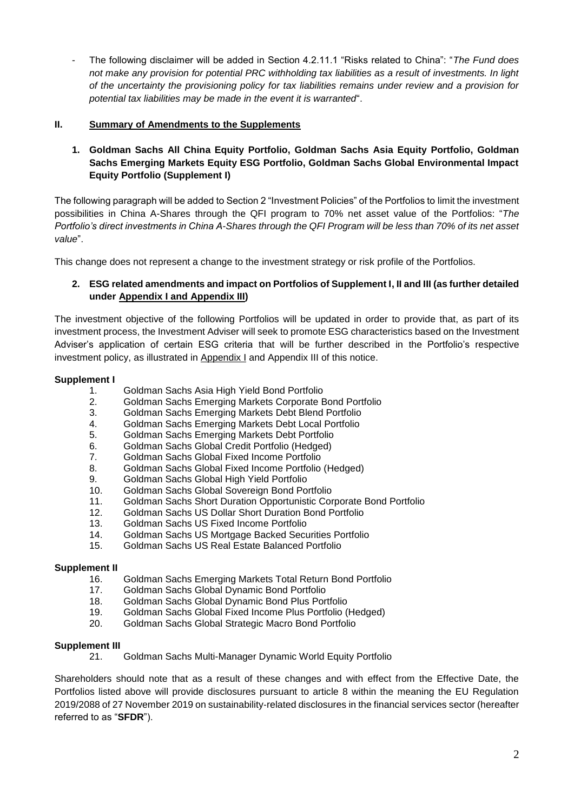- The following disclaimer will be added in Section 4.2.11.1 "Risks related to China": "*The Fund does not make any provision for potential PRC withholding tax liabilities as a result of investments. In light of the uncertainty the provisioning policy for tax liabilities remains under review and a provision for potential tax liabilities may be made in the event it is warranted*".

# **II. Summary of Amendments to the Supplements**

**1. Goldman Sachs All China Equity Portfolio, Goldman Sachs Asia Equity Portfolio, Goldman Sachs Emerging Markets Equity ESG Portfolio, Goldman Sachs Global Environmental Impact Equity Portfolio (Supplement I)**

The following paragraph will be added to Section 2 "Investment Policies" of the Portfolios to limit the investment possibilities in China A-Shares through the QFI program to 70% net asset value of the Portfolios: "*The Portfolio's direct investments in China A-Shares through the QFI Program will be less than 70% of its net asset value*".

This change does not represent a change to the investment strategy or risk profile of the Portfolios.

# **2. ESG related amendments and impact on Portfolios of Supplement I, II and III (as further detailed under Appendix I and Appendix III)**

The investment objective of the following Portfolios will be updated in order to provide that, as part of its investment process, the Investment Adviser will seek to promote ESG characteristics based on the Investment Adviser's application of certain ESG criteria that will be further described in the Portfolio's respective investment policy, as illustrated in Appendix I and Appendix III of this notice.

## **Supplement I**

- 1. Goldman Sachs Asia High Yield Bond Portfolio
- 2. Goldman Sachs Emerging Markets Corporate Bond Portfolio
- 3. Goldman Sachs Emerging Markets Debt Blend Portfolio
- 4. Goldman Sachs Emerging Markets Debt Local Portfolio
- 5. Goldman Sachs Emerging Markets Debt Portfolio
- 6. Goldman Sachs Global Credit Portfolio (Hedged)
- 7. Goldman Sachs Global Fixed Income Portfolio
- 8. Goldman Sachs Global Fixed Income Portfolio (Hedged)
- 9. Goldman Sachs Global High Yield Portfolio
- 10. Goldman Sachs Global Sovereign Bond Portfolio
- 11. Goldman Sachs Short Duration Opportunistic Corporate Bond Portfolio
- 12. Goldman Sachs US Dollar Short Duration Bond Portfolio
- 13. Goldman Sachs US Fixed Income Portfolio
- 14. Goldman Sachs US Mortgage Backed Securities Portfolio
- 15. Goldman Sachs US Real Estate Balanced Portfolio

## **Supplement II**

- 16. Goldman Sachs Emerging Markets Total Return Bond Portfolio
- 17. Goldman Sachs Global Dynamic Bond Portfolio
- 18. Goldman Sachs Global Dynamic Bond Plus Portfolio
- 19. Goldman Sachs Global Fixed Income Plus Portfolio (Hedged)
- 20. Goldman Sachs Global Strategic Macro Bond Portfolio

## **Supplement III**

21. Goldman Sachs Multi-Manager Dynamic World Equity Portfolio

Shareholders should note that as a result of these changes and with effect from the Effective Date, the Portfolios listed above will provide disclosures pursuant to article 8 within the meaning the EU Regulation 2019/2088 of 27 November 2019 on sustainability‐related disclosures in the financial services sector (hereafter referred to as "**SFDR**").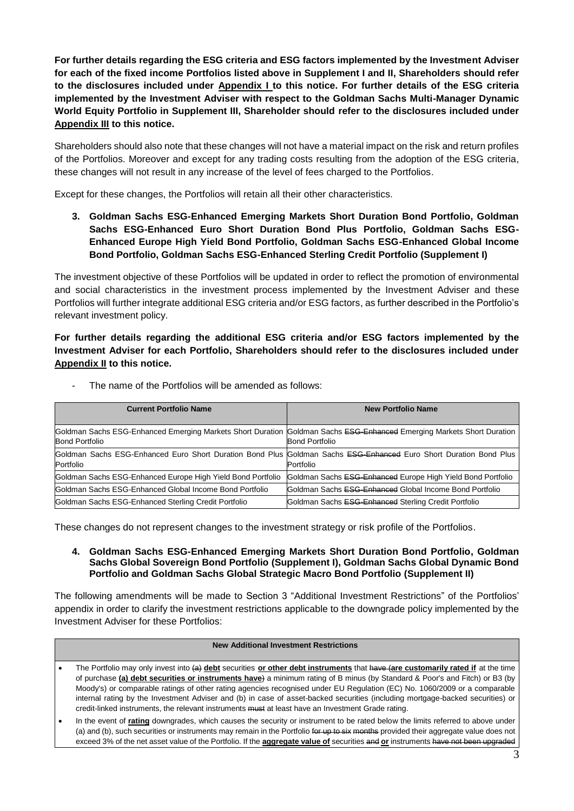**For further details regarding the ESG criteria and ESG factors implemented by the Investment Adviser for each of the fixed income Portfolios listed above in Supplement I and II, Shareholders should refer to the disclosures included under Appendix I to this notice. For further details of the ESG criteria implemented by the Investment Adviser with respect to the Goldman Sachs Multi-Manager Dynamic World Equity Portfolio in Supplement III, Shareholder should refer to the disclosures included under Appendix III to this notice.**

Shareholders should also note that these changes will not have a material impact on the risk and return profiles of the Portfolios. Moreover and except for any trading costs resulting from the adoption of the ESG criteria, these changes will not result in any increase of the level of fees charged to the Portfolios.

Except for these changes, the Portfolios will retain all their other characteristics.

**3. Goldman Sachs ESG-Enhanced Emerging Markets Short Duration Bond Portfolio, Goldman Sachs ESG-Enhanced Euro Short Duration Bond Plus Portfolio, Goldman Sachs ESG-Enhanced Europe High Yield Bond Portfolio, Goldman Sachs ESG-Enhanced Global Income Bond Portfolio, Goldman Sachs ESG-Enhanced Sterling Credit Portfolio (Supplement I)**

The investment objective of these Portfolios will be updated in order to reflect the promotion of environmental and social characteristics in the investment process implemented by the Investment Adviser and these Portfolios will further integrate additional ESG criteria and/or ESG factors, as further described in the Portfolio's relevant investment policy.

**For further details regarding the additional ESG criteria and/or ESG factors implemented by the Investment Adviser for each Portfolio, Shareholders should refer to the disclosures included under Appendix II to this notice.** 

| <b>Current Portfolio Name</b>                                                                                                                  | <b>New Portfolio Name</b>                                                                                                      |  |  |  |  |  |  |  |
|------------------------------------------------------------------------------------------------------------------------------------------------|--------------------------------------------------------------------------------------------------------------------------------|--|--|--|--|--|--|--|
| Goldman Sachs ESG-Enhanced Emerging Markets Short Duration Goldman Sachs ESG-Enhanced Emerging Markets Short Duration<br><b>Bond Portfolio</b> | <b>Bond Portfolio</b>                                                                                                          |  |  |  |  |  |  |  |
| Portfolio                                                                                                                                      | Goldman Sachs ESG-Enhanced Euro Short Duration Bond Plus Goldman Sachs ESG-Enhanced Euro Short Duration Bond Plus<br>Portfolio |  |  |  |  |  |  |  |
| Goldman Sachs ESG-Enhanced Europe High Yield Bond Portfolio                                                                                    | Goldman Sachs ESG-Enhanced Europe High Yield Bond Portfolio                                                                    |  |  |  |  |  |  |  |
| Goldman Sachs ESG-Enhanced Global Income Bond Portfolio                                                                                        | Goldman Sachs ESG-Enhanced Global Income Bond Portfolio                                                                        |  |  |  |  |  |  |  |
| Goldman Sachs ESG-Enhanced Sterling Credit Portfolio                                                                                           | Goldman Sachs ESG-Enhanced Sterling Credit Portfolio                                                                           |  |  |  |  |  |  |  |

The name of the Portfolios will be amended as follows:

These changes do not represent changes to the investment strategy or risk profile of the Portfolios.

### **4. Goldman Sachs ESG-Enhanced Emerging Markets Short Duration Bond Portfolio, Goldman Sachs Global Sovereign Bond Portfolio (Supplement I), Goldman Sachs Global Dynamic Bond Portfolio and Goldman Sachs Global Strategic Macro Bond Portfolio (Supplement II)**

The following amendments will be made to Section 3 "Additional Investment Restrictions" of the Portfolios' appendix in order to clarify the investment restrictions applicable to the downgrade policy implemented by the Investment Adviser for these Portfolios:

### **New Additional Investment Restrictions**

- The Portfolio may only invest into (a) **debt** securities **or other debt instruments** that have (**are customarily rated if** at the time of purchase **(a) debt securities or instruments have**) a minimum rating of B minus (by Standard & Poor's and Fitch) or B3 (by Moody's) or comparable ratings of other rating agencies recognised under EU Regulation (EC) No. 1060/2009 or a comparable internal rating by the Investment Adviser and (b) in case of asset-backed securities (including mortgage-backed securities) or credit-linked instruments, the relevant instruments must at least have an Investment Grade rating.
- In the event of **rating** downgrades, which causes the security or instrument to be rated below the limits referred to above under (a) and (b), such securities or instruments may remain in the Portfolio for up to six months provided their aggregate value does not exceed 3% of the net asset value of the Portfolio. If the **aggregate value of** securities and **or** instruments have not been upgraded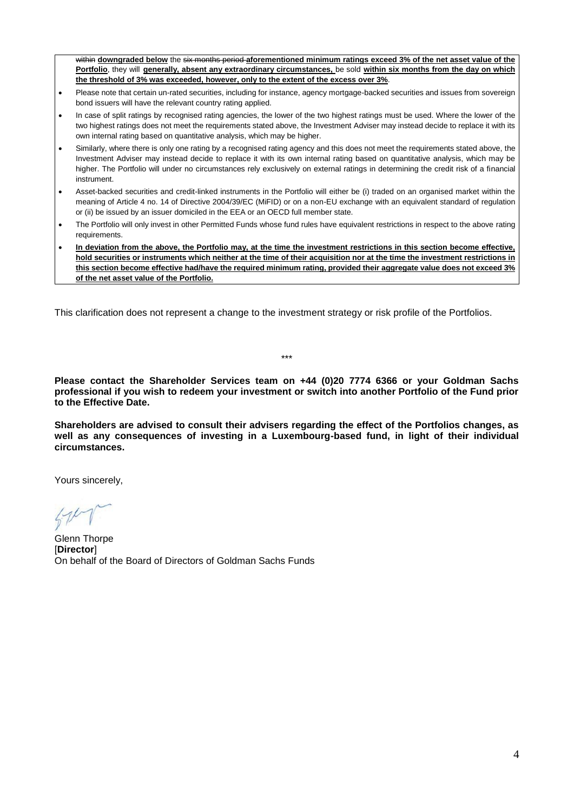within **downgraded below** the six months period **aforementioned minimum ratings exceed 3% of the net asset value of the Portfolio**, they will **generally, absent any extraordinary circumstances,** be sold **within six months from the day on which the threshold of 3% was exceeded, however, only to the extent of the excess over 3%**.

- Please note that certain un-rated securities, including for instance, agency mortgage-backed securities and issues from sovereign bond issuers will have the relevant country rating applied.
- In case of split ratings by recognised rating agencies, the lower of the two highest ratings must be used. Where the lower of the two highest ratings does not meet the requirements stated above, the Investment Adviser may instead decide to replace it with its own internal rating based on quantitative analysis, which may be higher.
- Similarly, where there is only one rating by a recognised rating agency and this does not meet the requirements stated above, the Investment Adviser may instead decide to replace it with its own internal rating based on quantitative analysis, which may be higher. The Portfolio will under no circumstances rely exclusively on external ratings in determining the credit risk of a financial instrument.
- Asset-backed securities and credit-linked instruments in the Portfolio will either be (i) traded on an organised market within the meaning of Article 4 no. 14 of Directive 2004/39/EC (MiFID) or on a non-EU exchange with an equivalent standard of regulation or (ii) be issued by an issuer domiciled in the EEA or an OECD full member state.
- The Portfolio will only invest in other Permitted Funds whose fund rules have equivalent restrictions in respect to the above rating requirements.
- **In deviation from the above, the Portfolio may, at the time the investment restrictions in this section become effective, hold securities or instruments which neither at the time of their acquisition nor at the time the investment restrictions in this section become effective had/have the required minimum rating, provided their aggregate value does not exceed 3% of the net asset value of the Portfolio.**

This clarification does not represent a change to the investment strategy or risk profile of the Portfolios.

**Please contact the Shareholder Services team on +44 (0)20 7774 6366 or your Goldman Sachs professional if you wish to redeem your investment or switch into another Portfolio of the Fund prior to the Effective Date.**

\*\*\*

**Shareholders are advised to consult their advisers regarding the effect of the Portfolios changes, as well as any consequences of investing in a Luxembourg-based fund, in light of their individual circumstances.**

Yours sincerely,

Glenn Thorpe [**Director**] On behalf of the Board of Directors of Goldman Sachs Funds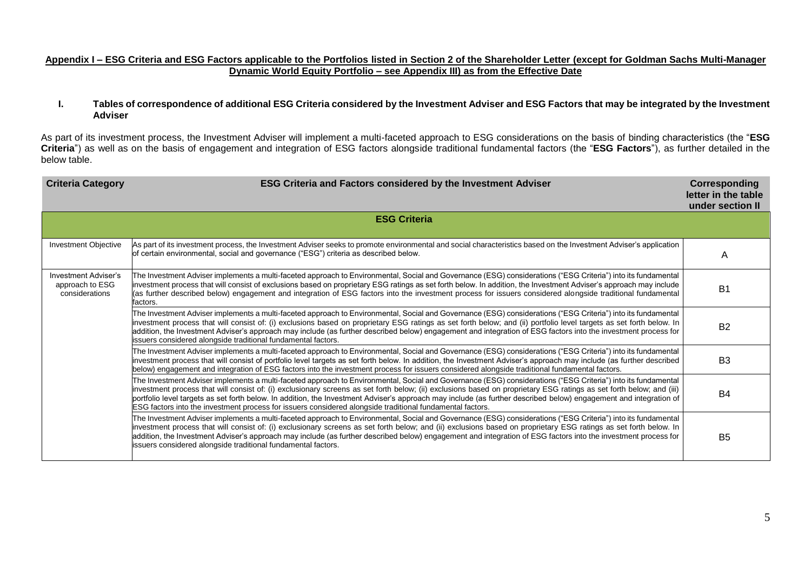### **Appendix I – ESG Criteria and ESG Factors applicable to the Portfolios listed in Section 2 of the Shareholder Letter (except for Goldman Sachs Multi-Manager Dynamic World Equity Portfolio – see Appendix III) as from the Effective Date**

### **I. Tables of correspondence of additional ESG Criteria considered by the Investment Adviser and ESG Factors that may be integrated by the Investment Adviser**

As part of its investment process, the Investment Adviser will implement a multi-faceted approach to ESG considerations on the basis of binding characteristics (the "**ESG Criteria**") as well as on the basis of engagement and integration of ESG factors alongside traditional fundamental factors (the "**ESG Factors**"), as further detailed in the below table.

| <b>Criteria Category</b>                                         | <b>ESG Criteria and Factors considered by the Investment Adviser</b><br><b>Corresponding</b><br>letter in the table<br>under section II                                                                                                                                                                                                                                                                                                                                                                                                                                                                                  |                |  |  |  |  |  |  |
|------------------------------------------------------------------|--------------------------------------------------------------------------------------------------------------------------------------------------------------------------------------------------------------------------------------------------------------------------------------------------------------------------------------------------------------------------------------------------------------------------------------------------------------------------------------------------------------------------------------------------------------------------------------------------------------------------|----------------|--|--|--|--|--|--|
|                                                                  | <b>ESG Criteria</b>                                                                                                                                                                                                                                                                                                                                                                                                                                                                                                                                                                                                      |                |  |  |  |  |  |  |
| Investment Objective                                             | As part of its investment process, the Investment Adviser seeks to promote environmental and social characteristics based on the Investment Adviser's application<br>of certain environmental, social and governance ("ESG") criteria as described below.                                                                                                                                                                                                                                                                                                                                                                | A              |  |  |  |  |  |  |
| <b>Investment Adviser's</b><br>approach to ESG<br>considerations | The Investment Adviser implements a multi-faceted approach to Environmental, Social and Governance (ESG) considerations ("ESG Criteria") into its fundamental<br>investment process that will consist of exclusions based on proprietary ESG ratings as set forth below. In addition, the Investment Adviser's approach may include<br>(as further described below) engagement and integration of ESG factors into the investment process for issuers considered alongside traditional fundamental<br>factors.                                                                                                           | B <sub>1</sub> |  |  |  |  |  |  |
|                                                                  | The Investment Adviser implements a multi-faceted approach to Environmental, Social and Governance (ESG) considerations ("ESG Criteria") into its fundamental<br>investment process that will consist of: (i) exclusions based on proprietary ESG ratings as set forth below; and (ii) portfolio level targets as set forth below. In<br>addition, the Investment Adviser's approach may include (as further described below) engagement and integration of ESG factors into the investment process for<br>issuers considered alongside traditional fundamental factors.                                                 | <b>B2</b>      |  |  |  |  |  |  |
|                                                                  | The Investment Adviser implements a multi-faceted approach to Environmental, Social and Governance (ESG) considerations ("ESG Criteria") into its fundamental<br>investment process that will consist of portfolio level targets as set forth below. In addition, the Investment Adviser's approach may include (as further described<br>below) engagement and integration of ESG factors into the investment process for issuers considered alongside traditional fundamental factors.                                                                                                                                  | B <sub>3</sub> |  |  |  |  |  |  |
|                                                                  | [The Investment Adviser implements a multi-faceted approach to Environmental, Social and Governance (ESG) considerations ("ESG Criteria") into its fundamental<br>investment process that will consist of: (i) exclusionary screens as set forth below; (ii) exclusions based on proprietary ESG ratings as set forth below; and (iii)<br>portfolio level targets as set forth below. In addition, the Investment Adviser's approach may include (as further described below) engagement and integration of<br>ESG factors into the investment process for issuers considered alongside traditional fundamental factors. | B <sub>4</sub> |  |  |  |  |  |  |
|                                                                  | The Investment Adviser implements a multi-faceted approach to Environmental, Social and Governance (ESG) considerations ("ESG Criteria") into its fundamental<br>investment process that will consist of: (i) exclusionary screens as set forth below; and (ii) exclusions based on proprietary ESG ratings as set forth below. In<br>addition, the Investment Adviser's approach may include (as further described below) engagement and integration of ESG factors into the investment process for<br>issuers considered alongside traditional fundamental factors.                                                    | B <sub>5</sub> |  |  |  |  |  |  |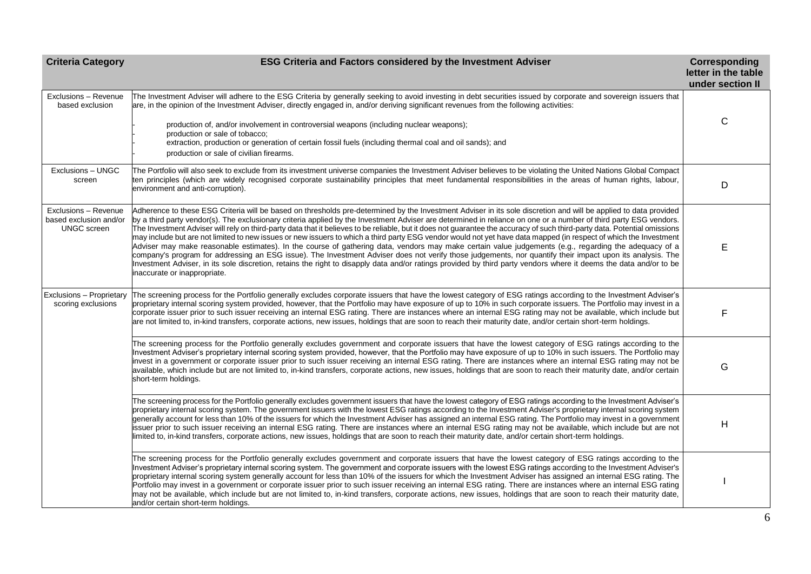| <b>Criteria Category</b>                                             | <b>ESG Criteria and Factors considered by the Investment Adviser</b>                                                                                                                                                                                                                                                                                                                                                                                                                                                                                                                                                                                                                                                                                                                                                                                                                                                                                                                                                                                                                                                                                                                                                 | Corresponding<br>letter in the table<br>under section II |
|----------------------------------------------------------------------|----------------------------------------------------------------------------------------------------------------------------------------------------------------------------------------------------------------------------------------------------------------------------------------------------------------------------------------------------------------------------------------------------------------------------------------------------------------------------------------------------------------------------------------------------------------------------------------------------------------------------------------------------------------------------------------------------------------------------------------------------------------------------------------------------------------------------------------------------------------------------------------------------------------------------------------------------------------------------------------------------------------------------------------------------------------------------------------------------------------------------------------------------------------------------------------------------------------------|----------------------------------------------------------|
| Exclusions - Revenue<br>based exclusion                              | The Investment Adviser will adhere to the ESG Criteria by generally seeking to avoid investing in debt securities issued by corporate and sovereign issuers that<br>are, in the opinion of the Investment Adviser, directly engaged in, and/or deriving significant revenues from the following activities:                                                                                                                                                                                                                                                                                                                                                                                                                                                                                                                                                                                                                                                                                                                                                                                                                                                                                                          |                                                          |
|                                                                      | production of, and/or involvement in controversial weapons (including nuclear weapons);<br>production or sale of tobacco;<br>extraction, production or generation of certain fossil fuels (including thermal coal and oil sands); and<br>production or sale of civilian firearms.                                                                                                                                                                                                                                                                                                                                                                                                                                                                                                                                                                                                                                                                                                                                                                                                                                                                                                                                    | $\mathsf{C}$                                             |
| Exclusions - UNGC<br>screen                                          | The Portfolio will also seek to exclude from its investment universe companies the Investment Adviser believes to be violating the United Nations Global Compact<br>ten principles (which are widely recognised corporate sustainability principles that meet fundamental responsibilities in the areas of human rights, labour,<br>environment and anti-corruption).                                                                                                                                                                                                                                                                                                                                                                                                                                                                                                                                                                                                                                                                                                                                                                                                                                                | D                                                        |
| Exclusions - Revenue<br>based exclusion and/or<br><b>UNGC</b> screen | Adherence to these ESG Criteria will be based on thresholds pre-determined by the Investment Adviser in its sole discretion and will be applied to data provided<br>by a third party vendor(s). The exclusionary criteria applied by the Investment Adviser are determined in reliance on one or a number of third party ESG vendors.<br>The Investment Adviser will rely on third-party data that it believes to be reliable, but it does not guarantee the accuracy of such third-party data. Potential omissions<br>may include but are not limited to new issues or new issuers to which a third party ESG vendor would not yet have data mapped (in respect of which the Investment<br>Adviser may make reasonable estimates). In the course of gathering data, vendors may make certain value judgements (e.g., regarding the adequacy of a<br>company's program for addressing an ESG issue). The Investment Adviser does not verify those judgements, nor quantify their impact upon its analysis. The<br>Investment Adviser, in its sole discretion, retains the right to disapply data and/or ratings provided by third party vendors where it deems the data and/or to be<br>inaccurate or inappropriate. | Е                                                        |
| Exclusions - Proprietary<br>scoring exclusions                       | The screening process for the Portfolio generally excludes corporate issuers that have the lowest category of ESG ratings according to the Investment Adviser's<br>proprietary internal scoring system provided, however, that the Portfolio may have exposure of up to 10% in such corporate issuers. The Portfolio may invest in a<br>corporate issuer prior to such issuer receiving an internal ESG rating. There are instances where an internal ESG rating may not be available, which include but<br>are not limited to, in-kind transfers, corporate actions, new issues, holdings that are soon to reach their maturity date, and/or certain short-term holdings.                                                                                                                                                                                                                                                                                                                                                                                                                                                                                                                                           | F                                                        |
|                                                                      | The screening process for the Portfolio generally excludes government and corporate issuers that have the lowest category of ESG ratings according to the<br>Investment Adviser's proprietary internal scoring system provided, however, that the Portfolio may have exposure of up to 10% in such issuers. The Portfolio may<br>invest in a government or corporate issuer prior to such issuer receiving an internal ESG rating. There are instances where an internal ESG rating may not be<br>available, which include but are not limited to, in-kind transfers, corporate actions, new issues, holdings that are soon to reach their maturity date, and/or certain<br>short-term holdings.                                                                                                                                                                                                                                                                                                                                                                                                                                                                                                                     | G                                                        |
|                                                                      | The screening process for the Portfolio generally excludes government issuers that have the lowest category of ESG ratings according to the Investment Adviser's<br>proprietary internal scoring system. The government issuers with the lowest ESG ratings according to the Investment Adviser's proprietary internal scoring system<br>generally account for less than 10% of the issuers for which the Investment Adviser has assigned an internal ESG rating. The Portfolio may invest in a government<br>issuer prior to such issuer receiving an internal ESG rating. There are instances where an internal ESG rating may not be available, which include but are not<br>limited to, in-kind transfers, corporate actions, new issues, holdings that are soon to reach their maturity date, and/or certain short-term holdings.                                                                                                                                                                                                                                                                                                                                                                               | H                                                        |
|                                                                      | The screening process for the Portfolio generally excludes government and corporate issuers that have the lowest category of ESG ratings according to the<br>Investment Adviser's proprietary internal scoring system. The government and corporate issuers with the lowest ESG ratings according to the Investment Adviser's<br>proprietary internal scoring system generally account for less than 10% of the issuers for which the Investment Adviser has assigned an internal ESG rating. The<br>Portfolio may invest in a government or corporate issuer prior to such issuer receiving an internal ESG rating. There are instances where an internal ESG rating<br>may not be available, which include but are not limited to, in-kind transfers, corporate actions, new issues, holdings that are soon to reach their maturity date,<br>and/or certain short-term holdings.                                                                                                                                                                                                                                                                                                                                   |                                                          |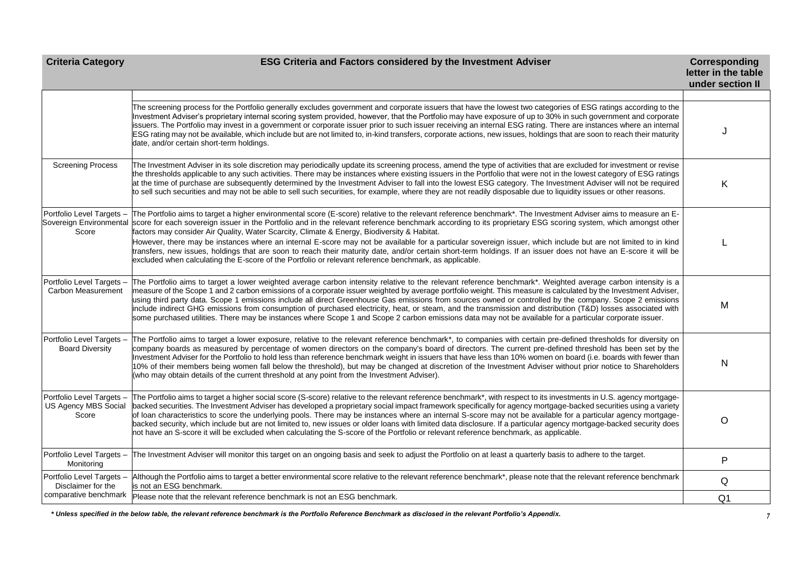# **Criteria Category ESG Criteria and Factors considered by the Investment Adviser Corresponding Corresponding**

|                                                            |                                                                                                                                                                                                                                                                                                                                                                                                                                                                                                                                                                                                                                                                                                                                                                                                                            | letter in the table<br>under section II |
|------------------------------------------------------------|----------------------------------------------------------------------------------------------------------------------------------------------------------------------------------------------------------------------------------------------------------------------------------------------------------------------------------------------------------------------------------------------------------------------------------------------------------------------------------------------------------------------------------------------------------------------------------------------------------------------------------------------------------------------------------------------------------------------------------------------------------------------------------------------------------------------------|-----------------------------------------|
|                                                            |                                                                                                                                                                                                                                                                                                                                                                                                                                                                                                                                                                                                                                                                                                                                                                                                                            |                                         |
|                                                            | The screening process for the Portfolio generally excludes government and corporate issuers that have the lowest two categories of ESG ratings according to the<br>Investment Adviser's proprietary internal scoring system provided, however, that the Portfolio may have exposure of up to 30% in such government and corporate<br>ssuers. The Portfolio may invest in a government or corporate issuer prior to such issuer receiving an internal ESG rating. There are instances where an internal<br>ESG rating may not be available, which include but are not limited to, in-kind transfers, corporate actions, new issues, holdings that are soon to reach their maturity<br>date, and/or certain short-term holdings.                                                                                             |                                         |
| <b>Screening Process</b>                                   | The Investment Adviser in its sole discretion may periodically update its screening process, amend the type of activities that are excluded for investment or revise<br>the thresholds applicable to any such activities. There may be instances where existing issuers in the Portfolio that were not in the lowest category of ESG ratings<br>at the time of purchase are subsequently determined by the Investment Adviser to fall into the lowest ESG category. The Investment Adviser will not be required<br>to sell such securities and may not be able to sell such securities, for example, where they are not readily disposable due to liquidity issues or other reasons.                                                                                                                                       | Κ                                       |
| Score                                                      | Portfolio Level Targets - The Portfolio aims to target a higher environmental score (E-score) relative to the relevant reference benchmark*. The Investment Adviser aims to measure an E-<br>Sovereign Environmental score for each sovereign issuer in the Portfolio and in the relevant reference benchmark according to its proprietary ESG scoring system, which amongst other<br>factors may consider Air Quality, Water Scarcity, Climate & Energy, Biodiversity & Habitat.                                                                                                                                                                                                                                                                                                                                          |                                         |
|                                                            | However, there may be instances where an internal E-score may not be available for a particular sovereign issuer, which include but are not limited to in kind<br>transfers, new issues, holdings that are soon to reach their maturity date, and/or certain short-term holdings. If an issuer does not have an E-score it will be<br>excluded when calculating the E-score of the Portfolio or relevant reference benchmark, as applicable.                                                                                                                                                                                                                                                                                                                                                                               |                                         |
| Portfolio Level Targets -<br>Carbon Measurement            | The Portfolio aims to target a lower weighted average carbon intensity relative to the relevant reference benchmark*. Weighted average carbon intensity is a<br>measure of the Scope 1 and 2 carbon emissions of a corporate issuer weighted by average portfolio weight. This measure is calculated by the Investment Adviser,<br>using third party data. Scope 1 emissions include all direct Greenhouse Gas emissions from sources owned or controlled by the company. Scope 2 emissions<br>include indirect GHG emissions from consumption of purchased electricity, heat, or steam, and the transmission and distribution (T&D) losses associated with<br>some purchased utilities. There may be instances where Scope 1 and Scope 2 carbon emissions data may not be available for a particular corporate issuer.    | M                                       |
| Portfolio Level Targets -<br><b>Board Diversity</b>        | The Portfolio aims to target a lower exposure, relative to the relevant reference benchmark*, to companies with certain pre-defined thresholds for diversity on<br>company boards as measured by percentage of women directors on the company's board of directors. The current pre-defined threshold has been set by the<br>Investment Adviser for the Portfolio to hold less than reference benchmark weight in issuers that have less than 10% women on board (i.e. boards with fewer than<br>10% of their members being women fall below the threshold), but may be changed at discretion of the Investment Adviser without prior notice to Shareholders<br>(who may obtain details of the current threshold at any point from the Investment Adviser).                                                                | N                                       |
| Portfolio Level Targets -<br>US Agency MBS Social<br>Score | The Portfolio aims to target a higher social score (S-score) relative to the relevant reference benchmark*, with respect to its investments in U.S. agency mortgage-<br>backed securities. The Investment Adviser has developed a proprietary social impact framework specifically for agency mortgage-backed securities using a variety<br>of loan characteristics to score the underlying pools. There may be instances where an internal S-score may not be available for a particular agency mortgage-<br>backed security, which include but are not limited to, new issues or older loans with limited data disclosure. If a particular agency mortgage-backed security does<br>not have an S-score it will be excluded when calculating the S-score of the Portfolio or relevant reference benchmark, as applicable. | O                                       |
| Portfolio Level Targets -<br>Monitoring                    | The Investment Adviser will monitor this target on an ongoing basis and seek to adjust the Portfolio on at least a quarterly basis to adhere to the target.                                                                                                                                                                                                                                                                                                                                                                                                                                                                                                                                                                                                                                                                | P                                       |
| Portfolio Level Targets -<br>Disclaimer for the            | Although the Portfolio aims to target a better environmental score relative to the relevant reference benchmark*, please note that the relevant reference benchmark<br>is not an ESG benchmark.                                                                                                                                                                                                                                                                                                                                                                                                                                                                                                                                                                                                                            | Q                                       |
| comparative benchmark                                      | Please note that the relevant reference benchmark is not an ESG benchmark.                                                                                                                                                                                                                                                                                                                                                                                                                                                                                                                                                                                                                                                                                                                                                 | Q <sub>1</sub>                          |

*\* Unless specified in the below table, the relevant reference benchmark is the Portfolio Reference Benchmark as disclosed in the relevant Portfolio's Appendix.*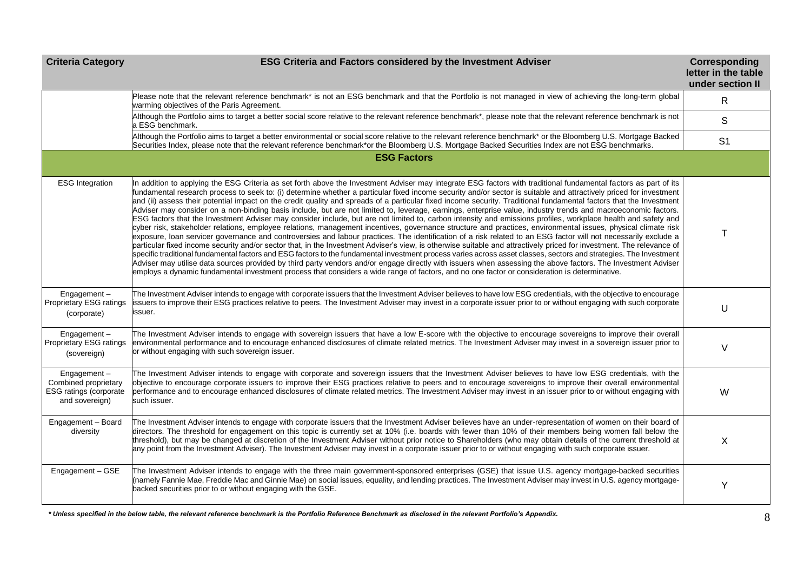| <b>Criteria Category</b>                                                        | ESG Criteria and Factors considered by the Investment Adviser                                                                                                                                                                                                                                                                                                                                                                                                                                                                                                                                                                                                                                                                                                                                                                                                                                                                                                                                                                                                                                                                                                                                                                                                                                                                                                                                                                                                                                                                                                                                                                                                                                                                                                                                                                                         | Corresponding<br>letter in the table<br>under section II |
|---------------------------------------------------------------------------------|-------------------------------------------------------------------------------------------------------------------------------------------------------------------------------------------------------------------------------------------------------------------------------------------------------------------------------------------------------------------------------------------------------------------------------------------------------------------------------------------------------------------------------------------------------------------------------------------------------------------------------------------------------------------------------------------------------------------------------------------------------------------------------------------------------------------------------------------------------------------------------------------------------------------------------------------------------------------------------------------------------------------------------------------------------------------------------------------------------------------------------------------------------------------------------------------------------------------------------------------------------------------------------------------------------------------------------------------------------------------------------------------------------------------------------------------------------------------------------------------------------------------------------------------------------------------------------------------------------------------------------------------------------------------------------------------------------------------------------------------------------------------------------------------------------------------------------------------------------|----------------------------------------------------------|
|                                                                                 | Please note that the relevant reference benchmark* is not an ESG benchmark and that the Portfolio is not managed in view of achieving the long-term global<br>warming objectives of the Paris Agreement.                                                                                                                                                                                                                                                                                                                                                                                                                                                                                                                                                                                                                                                                                                                                                                                                                                                                                                                                                                                                                                                                                                                                                                                                                                                                                                                                                                                                                                                                                                                                                                                                                                              | $\mathsf{R}$                                             |
|                                                                                 | Although the Portfolio aims to target a better social score relative to the relevant reference benchmark*, please note that the relevant reference benchmark is not<br>a ESG benchmark.                                                                                                                                                                                                                                                                                                                                                                                                                                                                                                                                                                                                                                                                                                                                                                                                                                                                                                                                                                                                                                                                                                                                                                                                                                                                                                                                                                                                                                                                                                                                                                                                                                                               | $\mathsf S$                                              |
|                                                                                 | Although the Portfolio aims to target a better environmental or social score relative to the relevant reference benchmark* or the Bloomberg U.S. Mortgage Backed<br>Securities Index, please note that the relevant reference benchmark*or the Bloomberg U.S. Mortgage Backed Securities Index are not ESG benchmarks.                                                                                                                                                                                                                                                                                                                                                                                                                                                                                                                                                                                                                                                                                                                                                                                                                                                                                                                                                                                                                                                                                                                                                                                                                                                                                                                                                                                                                                                                                                                                | S <sub>1</sub>                                           |
|                                                                                 | <b>ESG Factors</b>                                                                                                                                                                                                                                                                                                                                                                                                                                                                                                                                                                                                                                                                                                                                                                                                                                                                                                                                                                                                                                                                                                                                                                                                                                                                                                                                                                                                                                                                                                                                                                                                                                                                                                                                                                                                                                    |                                                          |
| <b>ESG</b> Integration                                                          | In addition to applying the ESG Criteria as set forth above the Investment Adviser may integrate ESG factors with traditional fundamental factors as part of its<br>fundamental research process to seek to: (i) determine whether a particular fixed income security and/or sector is suitable and attractively priced for investment<br>and (ii) assess their potential impact on the credit quality and spreads of a particular fixed income security. Traditional fundamental factors that the Investment<br>Adviser may consider on a non-binding basis include, but are not limited to, leverage, earnings, enterprise value, industry trends and macroeconomic factors.<br>ESG factors that the Investment Adviser may consider include, but are not limited to, carbon intensity and emissions profiles, workplace health and safety and<br>cyber risk, stakeholder relations, employee relations, management incentives, governance structure and practices, environmental issues, physical climate risk<br>exposure, loan servicer governance and controversies and labour practices. The identification of a risk related to an ESG factor will not necessarily exclude a<br>particular fixed income security and/or sector that, in the Investment Adviser's view, is otherwise suitable and attractively priced for investment. The relevance of<br>specific traditional fundamental factors and ESG factors to the fundamental investment process varies across asset classes, sectors and strategies. The Investment<br>Adviser may utilise data sources provided by third party vendors and/or engage directly with issuers when assessing the above factors. The Investment Adviser<br>employs a dynamic fundamental investment process that considers a wide range of factors, and no one factor or consideration is determinative. | Т                                                        |
| Engagement-<br>Proprietary ESG ratings<br>(corporate)                           | The Investment Adviser intends to engage with corporate issuers that the Investment Adviser believes to have low ESG credentials, with the objective to encourage<br>issuers to improve their ESG practices relative to peers. The Investment Adviser may invest in a corporate issuer prior to or without engaging with such corporate<br>issuer.                                                                                                                                                                                                                                                                                                                                                                                                                                                                                                                                                                                                                                                                                                                                                                                                                                                                                                                                                                                                                                                                                                                                                                                                                                                                                                                                                                                                                                                                                                    | U                                                        |
| Engagement-<br>Proprietary ESG ratings<br>(sovereign)                           | The Investment Adviser intends to engage with sovereign issuers that have a low E-score with the objective to encourage sovereigns to improve their overall<br>environmental performance and to encourage enhanced disclosures of climate related metrics. The Investment Adviser may invest in a sovereign issuer prior to<br>or without engaging with such sovereign issuer.                                                                                                                                                                                                                                                                                                                                                                                                                                                                                                                                                                                                                                                                                                                                                                                                                                                                                                                                                                                                                                                                                                                                                                                                                                                                                                                                                                                                                                                                        | $\vee$                                                   |
| Engagement-<br>Combined proprietary<br>ESG ratings (corporate<br>and sovereign) | The Investment Adviser intends to engage with corporate and sovereign issuers that the Investment Adviser believes to have low ESG credentials, with the<br>objective to encourage corporate issuers to improve their ESG practices relative to peers and to encourage sovereigns to improve their overall environmental<br>performance and to encourage enhanced disclosures of climate related metrics. The Investment Adviser may invest in an issuer prior to or without engaging with<br>such issuer.                                                                                                                                                                                                                                                                                                                                                                                                                                                                                                                                                                                                                                                                                                                                                                                                                                                                                                                                                                                                                                                                                                                                                                                                                                                                                                                                            | W                                                        |
| Engagement - Board<br>diversity                                                 | The Investment Adviser intends to engage with corporate issuers that the Investment Adviser believes have an under-representation of women on their board of<br>directors. The threshold for engagement on this topic is currently set at 10% (i.e. boards with fewer than 10% of their members being women fall below the<br>threshold), but may be changed at discretion of the Investment Adviser without prior notice to Shareholders (who may obtain details of the current threshold at<br>any point from the Investment Adviser). The Investment Adviser may invest in a corporate issuer prior to or without engaging with such corporate issuer.                                                                                                                                                                                                                                                                                                                                                                                                                                                                                                                                                                                                                                                                                                                                                                                                                                                                                                                                                                                                                                                                                                                                                                                             | X                                                        |
| Engagement - GSE                                                                | The Investment Adviser intends to engage with the three main government-sponsored enterprises (GSE) that issue U.S. agency mortgage-backed securities<br>(namely Fannie Mae, Freddie Mac and Ginnie Mae) on social issues, equality, and lending practices. The Investment Adviser may invest in U.S. agency mortgage-<br>backed securities prior to or without engaging with the GSE.                                                                                                                                                                                                                                                                                                                                                                                                                                                                                                                                                                                                                                                                                                                                                                                                                                                                                                                                                                                                                                                                                                                                                                                                                                                                                                                                                                                                                                                                | Y                                                        |

*\* Unless specified in the below table, the relevant reference benchmark is the Portfolio Reference Benchmark as disclosed in the relevant Portfolio's Appendix.*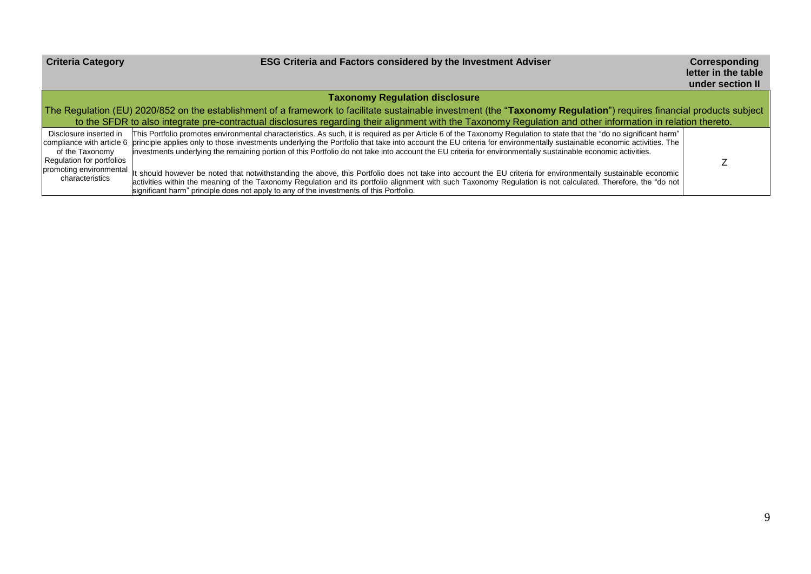# **Criteria Category ESG Criteria and Factors considered by the Investment Adviser Criteria Category Compared 2016**

**Corresponding**<br>letter in the table **under section II**

|                                                                        |                                                                                                                                                                                                                                                                                                                                                                                                                                                                                                                                          | <u>unuci sconon il</u> |  |  |  |  |  |
|------------------------------------------------------------------------|------------------------------------------------------------------------------------------------------------------------------------------------------------------------------------------------------------------------------------------------------------------------------------------------------------------------------------------------------------------------------------------------------------------------------------------------------------------------------------------------------------------------------------------|------------------------|--|--|--|--|--|
|                                                                        | <b>Taxonomy Regulation disclosure</b>                                                                                                                                                                                                                                                                                                                                                                                                                                                                                                    |                        |  |  |  |  |  |
|                                                                        | The Regulation (EU) 2020/852 on the establishment of a framework to facilitate sustainable investment (the "Taxonomy Regulation") requires financial products subject                                                                                                                                                                                                                                                                                                                                                                    |                        |  |  |  |  |  |
|                                                                        | to the SFDR to also integrate pre-contractual disclosures regarding their alignment with the Taxonomy Regulation and other information in relation thereto.                                                                                                                                                                                                                                                                                                                                                                              |                        |  |  |  |  |  |
| Disclosure inserted in<br>of the Taxonomy<br>Regulation for portfolios | [This Portfolio promotes environmental characteristics. As such, it is required as per Article 6 of the Taxonomy Regulation to state that the "do no significant harm"<br>compliance with article 6 principle applies only to those investments underlying the Portfolio that take into account the EU criteria for environmentally sustainable economic activities. The<br>investments underlying the remaining portion of this Portfolio do not take into account the EU criteria for environmentally sustainable economic activities. |                        |  |  |  |  |  |
| characteristics                                                        | promoting environmental it should however be noted that notwithstanding the above, this Portfolio does not take into account the EU criteria for environmentally sustainable economic  <br>activities within the meaning of the Taxonomy Regulation and its portfolio alignment with such Taxonomy Regulation is not calculated. Therefore, the "do not<br>significant harm" principle does not apply to any of the investments of this Portfolio.                                                                                       |                        |  |  |  |  |  |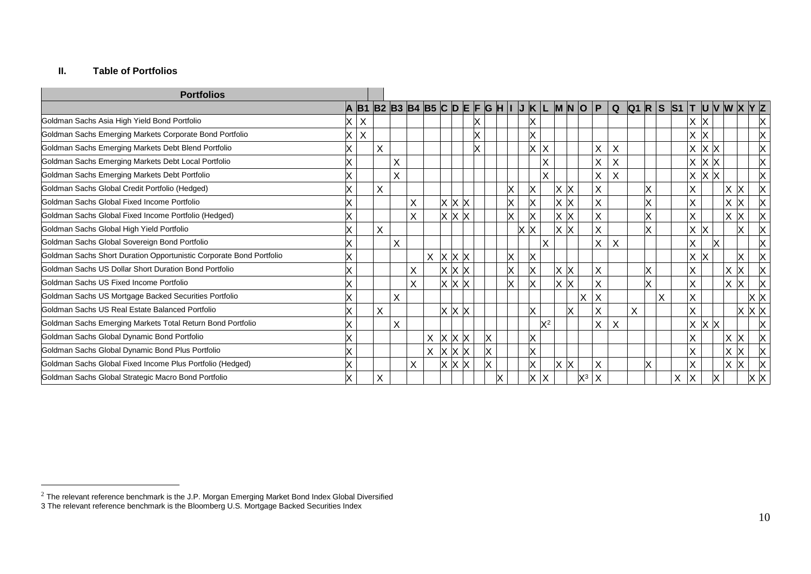# **II. Table of Portfolios**

 $\overline{a}$ 

| <b>Portfolios</b>                                                   |   |   |          |                                            |   |   |              |    |   |    |                         |       |                   |                |              |             |   |   |   |                         |   |                         |           |        |    |             |
|---------------------------------------------------------------------|---|---|----------|--------------------------------------------|---|---|--------------|----|---|----|-------------------------|-------|-------------------|----------------|--------------|-------------|---|---|---|-------------------------|---|-------------------------|-----------|--------|----|-------------|
|                                                                     | A |   |          | B1 B2 B3 B4 B5 C D E F G H I J K L M N O P |   |   |              |    |   |    |                         |       |                   |                |              | $\mathbf Q$ |   |   |   | Q1 R S S1 T U V W X Y Z |   |                         |           |        |    |             |
| Goldman Sachs Asia High Yield Bond Portfolio                        |   | X |          |                                            |   |   |              |    |   |    | X                       |       |                   |                |              |             |   |   |   |                         | X |                         |           |        |    | Х           |
| Goldman Sachs Emerging Markets Corporate Bond Portfolio             | Χ | X |          |                                            |   |   |              |    |   |    | X                       |       |                   |                |              |             |   |   |   |                         | X | ΙX                      |           |        |    | X           |
| Goldman Sachs Emerging Markets Debt Blend Portfolio                 |   |   | X        |                                            |   |   |              |    |   |    | <b>X</b>                | X     |                   |                | Χ            | Χ           |   |   |   |                         | X | $\mathsf{\overline{X}}$ | <b>IX</b> |        |    | X           |
| Goldman Sachs Emerging Markets Debt Local Portfolio                 |   |   |          | $\sf X$                                    |   |   |              |    |   |    |                         | X     |                   |                | X            | X           |   |   |   |                         | X | ΙX                      |           |        |    |             |
| Goldman Sachs Emerging Markets Debt Portfolio                       |   |   |          | $\sf X$                                    |   |   |              |    |   |    |                         | Χ     |                   |                | X            | X           |   |   |   |                         | X | ΙX                      | IX.       |        |    | Χ           |
| Goldman Sachs Global Credit Portfolio (Hedged)                      |   |   | $\times$ |                                            |   |   |              |    |   | X. | X                       |       | x  x              |                | X            |             |   | X |   |                         | X |                         |           | X      | X  | X           |
| Goldman Sachs Global Fixed Income Portfolio                         |   |   |          |                                            | X |   | $X$ $X$ $X$  |    |   | X  | $\overline{\mathsf{x}}$ |       | $x \mid x$        |                | X            |             |   | X |   |                         | X |                         |           | Χ<br>х |    |             |
| Goldman Sachs Global Fixed Income Portfolio (Hedged)                |   |   |          |                                            | X |   | $X$ $X$ $X$  |    |   | x  | X                       |       | $x \, x$          |                | Χ            |             |   | X |   |                         | X |                         |           | X<br>x |    |             |
| Goldman Sachs Global High Yield Portfolio                           |   |   | X        |                                            |   |   |              |    |   |    | $x \, x$                |       | $x \mathsf{K}$    |                | X            |             |   | X |   |                         | X | $\mathsf{X}$            |           |        | x  | X           |
| Goldman Sachs Global Sovereign Bond Portfolio                       |   |   |          | $\times$                                   |   |   |              |    |   |    |                         | X     |                   |                | X.           | X           |   |   |   |                         | X |                         |           |        |    | х           |
| Goldman Sachs Short Duration Opportunistic Corporate Bond Portfolio |   |   |          |                                            |   | X | $x \times x$ |    |   | X  | ΙX                      |       |                   |                |              |             |   |   |   |                         | X | ΙX                      |           |        | X  | X           |
| Goldman Sachs US Dollar Short Duration Bond Portfolio               |   |   |          |                                            | X |   | $X$ $X$ $X$  |    |   | X  | X                       |       | $x \mathsf{K}$    |                | X            |             |   | X |   |                         | X |                         |           | Χ<br>Х |    |             |
| Goldman Sachs US Fixed Income Portfolio                             |   |   |          |                                            | X |   | $X$ $X$ $X$  |    |   | X  | lx                      |       | x  x              |                | X            |             |   | X |   |                         | X |                         |           | X      | X. |             |
| Goldman Sachs US Mortgage Backed Securities Portfolio               |   |   |          | $\sf X$                                    |   |   |              |    |   |    |                         |       |                   | X              | X            |             |   |   | X |                         | X |                         |           |        |    | хk          |
| Goldman Sachs US Real Estate Balanced Portfolio                     |   |   | X        |                                            |   |   | $x \times x$ |    |   |    | X                       |       | X                 |                | X            |             | X |   |   |                         | X |                         |           |        |    | $X$ $X$ $X$ |
| Goldman Sachs Emerging Markets Total Return Bond Portfolio          |   |   |          | $\sf X$                                    |   |   |              |    |   |    |                         | $X^2$ |                   |                | X            | X           |   |   |   |                         | X | $\mathsf{X}$            | ΙX        |        |    |             |
| Goldman Sachs Global Dynamic Bond Portfolio                         |   |   |          |                                            |   | X | $X$ $X$ $X$  |    | Χ |    | X                       |       |                   |                |              |             |   |   |   |                         | Χ |                         |           | X      | X  |             |
| Goldman Sachs Global Dynamic Bond Plus Portfolio                    |   |   |          |                                            |   | X | $\mathsf{X}$ | xх | X |    | <b>X</b>                |       |                   |                |              |             |   |   |   |                         | X |                         |           | Χ      | x  |             |
| Goldman Sachs Global Fixed Income Plus Portfolio (Hedged)           |   |   |          |                                            | X |   | <b>X</b>     | xх | X |    | X                       |       | $\times$ $\times$ |                | Χ            |             |   | X |   |                         | X |                         |           | X      | X. | X           |
| Goldman Sachs Global Strategic Macro Bond Portfolio                 | X |   | X        |                                            |   |   |              |    | Χ |    | X                       | X     |                   | $\mathsf{X}^3$ | $\mathsf{X}$ |             |   |   |   | X                       | X |                         | и         |        |    | x  x        |

 $^2$  The relevant reference benchmark is the J.P. Morgan Emerging Market Bond Index Global Diversified

<sup>3</sup> The relevant reference benchmark is the Bloomberg U.S. Mortgage Backed Securities Index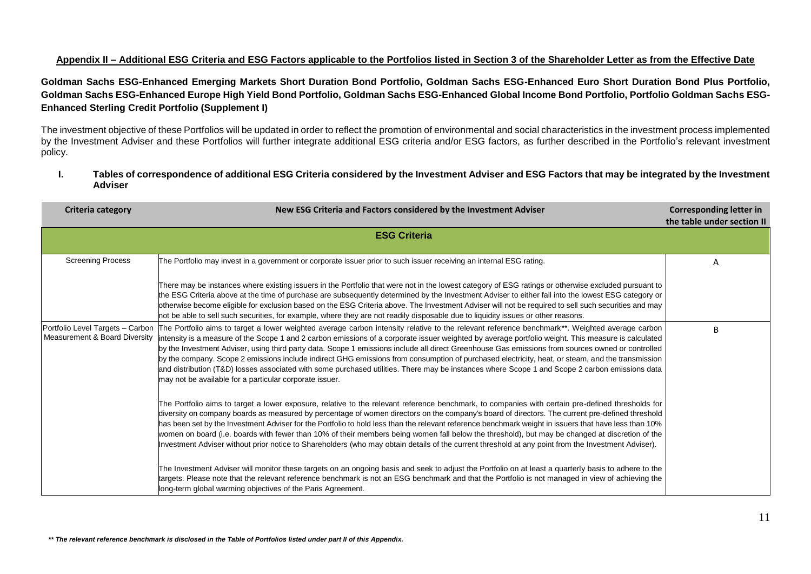# **Appendix II – Additional ESG Criteria and ESG Factors applicable to the Portfolios listed in Section 3 of the Shareholder Letter as from the Effective Date**

**Goldman Sachs ESG-Enhanced Emerging Markets Short Duration Bond Portfolio, Goldman Sachs ESG-Enhanced Euro Short Duration Bond Plus Portfolio, Goldman Sachs ESG-Enhanced Europe High Yield Bond Portfolio, Goldman Sachs ESG-Enhanced Global Income Bond Portfolio, Portfolio Goldman Sachs ESG-Enhanced Sterling Credit Portfolio (Supplement I)**

The investment objective of these Portfolios will be updated in order to reflect the promotion of environmental and social characteristics in the investment process implemented by the Investment Adviser and these Portfolios will further integrate additional ESG criteria and/or ESG factors, as further described in the Portfolio's relevant investment policy.

### **I. Tables of correspondence of additional ESG Criteria considered by the Investment Adviser and ESG Factors that may be integrated by the Investment Adviser**

| <b>Criteria category</b>                                          | New ESG Criteria and Factors considered by the Investment Adviser                                                                                                                                                                                                                                                                                                                                                                                                                                                                                                                                                                                                                                                                                                                                                           | <b>Corresponding letter in</b><br>the table under section II |
|-------------------------------------------------------------------|-----------------------------------------------------------------------------------------------------------------------------------------------------------------------------------------------------------------------------------------------------------------------------------------------------------------------------------------------------------------------------------------------------------------------------------------------------------------------------------------------------------------------------------------------------------------------------------------------------------------------------------------------------------------------------------------------------------------------------------------------------------------------------------------------------------------------------|--------------------------------------------------------------|
|                                                                   | <b>ESG Criteria</b>                                                                                                                                                                                                                                                                                                                                                                                                                                                                                                                                                                                                                                                                                                                                                                                                         |                                                              |
| <b>Screening Process</b>                                          | The Portfolio may invest in a government or corporate issuer prior to such issuer receiving an internal ESG rating.                                                                                                                                                                                                                                                                                                                                                                                                                                                                                                                                                                                                                                                                                                         | Α                                                            |
|                                                                   | There may be instances where existing issuers in the Portfolio that were not in the lowest category of ESG ratings or otherwise excluded pursuant to<br>the ESG Criteria above at the time of purchase are subsequently determined by the Investment Adviser to either fall into the lowest ESG category or<br>otherwise become eligible for exclusion based on the ESG Criteria above. The Investment Adviser will not be required to sell such securities and may<br>not be able to sell such securities, for example, where they are not readily disposable due to liquidity issues or other reasons.                                                                                                                                                                                                                    |                                                              |
| Portfolio Level Targets - Carbon<br>Measurement & Board Diversity | The Portfolio aims to target a lower weighted average carbon intensity relative to the relevant reference benchmark**. Weighted average carbon<br>intensity is a measure of the Scope 1 and 2 carbon emissions of a corporate issuer weighted by average portfolio weight. This measure is calculated<br>by the Investment Adviser, using third party data. Scope 1 emissions include all direct Greenhouse Gas emissions from sources owned or controlled<br>by the company. Scope 2 emissions include indirect GHG emissions from consumption of purchased electricity, heat, or steam, and the transmission<br>and distribution (T&D) losses associated with some purchased utilities. There may be instances where Scope 1 and Scope 2 carbon emissions data<br>may not be available for a particular corporate issuer. | B                                                            |
|                                                                   | The Portfolio aims to target a lower exposure, relative to the relevant reference benchmark, to companies with certain pre-defined thresholds for<br>diversity on company boards as measured by percentage of women directors on the company's board of directors. The current pre-defined threshold<br>has been set by the Investment Adviser for the Portfolio to hold less than the relevant reference benchmark weight in issuers that have less than 10%<br>women on board (i.e. boards with fewer than 10% of their members being women fall below the threshold), but may be changed at discretion of the<br>Investment Adviser without prior notice to Shareholders (who may obtain details of the current threshold at any point from the Investment Adviser).                                                     |                                                              |
|                                                                   | The Investment Adviser will monitor these targets on an ongoing basis and seek to adjust the Portfolio on at least a quarterly basis to adhere to the<br>targets. Please note that the relevant reference benchmark is not an ESG benchmark and that the Portfolio is not managed in view of achieving the<br>long-term global warming objectives of the Paris Agreement.                                                                                                                                                                                                                                                                                                                                                                                                                                                   |                                                              |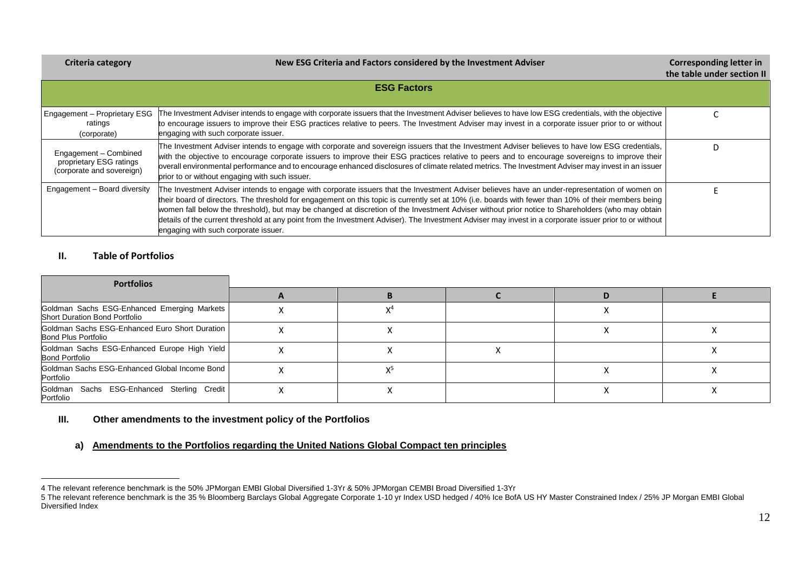### **Criteria category New ESG Criteria and Factors considered by the Investment Adviser Corresponding letter in**

|                                                                               |                                                                                                                                                                                                                                                                                                                                                                                                                                                                                                                                                                                                                                                              | the table under section II |  |  |  |  |  |  |
|-------------------------------------------------------------------------------|--------------------------------------------------------------------------------------------------------------------------------------------------------------------------------------------------------------------------------------------------------------------------------------------------------------------------------------------------------------------------------------------------------------------------------------------------------------------------------------------------------------------------------------------------------------------------------------------------------------------------------------------------------------|----------------------------|--|--|--|--|--|--|
| <b>ESG Factors</b>                                                            |                                                                                                                                                                                                                                                                                                                                                                                                                                                                                                                                                                                                                                                              |                            |  |  |  |  |  |  |
|                                                                               |                                                                                                                                                                                                                                                                                                                                                                                                                                                                                                                                                                                                                                                              |                            |  |  |  |  |  |  |
| Engagement - Proprietary ESG<br>ratings<br>(corporate)                        | The Investment Adviser intends to engage with corporate issuers that the Investment Adviser believes to have low ESG credentials, with the objective<br>to encourage issuers to improve their ESG practices relative to peers. The Investment Adviser may invest in a corporate issuer prior to or without<br>engaging with such corporate issuer.                                                                                                                                                                                                                                                                                                           |                            |  |  |  |  |  |  |
| Engagement - Combined<br>proprietary ESG ratings<br>(corporate and sovereign) | The Investment Adviser intends to engage with corporate and sovereign issuers that the Investment Adviser believes to have low ESG credentials,<br>with the objective to encourage corporate issuers to improve their ESG practices relative to peers and to encourage sovereigns to improve their<br>overall environmental performance and to encourage enhanced disclosures of climate related metrics. The Investment Adviser may invest in an issuer<br>prior to or without engaging with such issuer.                                                                                                                                                   |                            |  |  |  |  |  |  |
| Engagement - Board diversity                                                  | The Investment Adviser intends to engage with corporate issuers that the Investment Adviser believes have an under-representation of women on<br>their board of directors. The threshold for engagement on this topic is currently set at 10% (i.e. boards with fewer than 10% of their members being<br>women fall below the threshold), but may be changed at discretion of the Investment Adviser without prior notice to Shareholders (who may obtain<br>details of the current threshold at any point from the Investment Adviser). The Investment Adviser may invest in a corporate issuer prior to or without<br>engaging with such corporate issuer. |                            |  |  |  |  |  |  |

# **II. Table of Portfolios**

 $\overline{a}$ 

| <b>Portfolios</b>                                                                   |  |  |  |
|-------------------------------------------------------------------------------------|--|--|--|
|                                                                                     |  |  |  |
| Goldman Sachs ESG-Enhanced Emerging Markets<br><b>Short Duration Bond Portfolio</b> |  |  |  |
| Goldman Sachs ESG-Enhanced Euro Short Duration<br><b>Bond Plus Portfolio</b>        |  |  |  |
| Goldman Sachs ESG-Enhanced Europe High Yield<br><b>Bond Portfolio</b>               |  |  |  |
| Goldman Sachs ESG-Enhanced Global Income Bond<br>Portfolio                          |  |  |  |
| Goldman Sachs ESG-Enhanced Sterling Credit<br>Portfolio                             |  |  |  |

# **III. Other amendments to the investment policy of the Portfolios**

### **a) Amendments to the Portfolios regarding the United Nations Global Compact ten principles**

<sup>4</sup> The relevant reference benchmark is the 50% JPMorgan EMBI Global Diversified 1-3Yr & 50% JPMorgan CEMBI Broad Diversified 1-3Yr

<sup>5</sup> The relevant reference benchmark is the 35 % Bloomberg Barclays Global Aggregate Corporate 1-10 yr Index USD hedged / 40% Ice BofA US HY Master Constrained Index / 25% JP Morgan EMBI Global Aggregate Corporate 1-10 yr In Diversified Index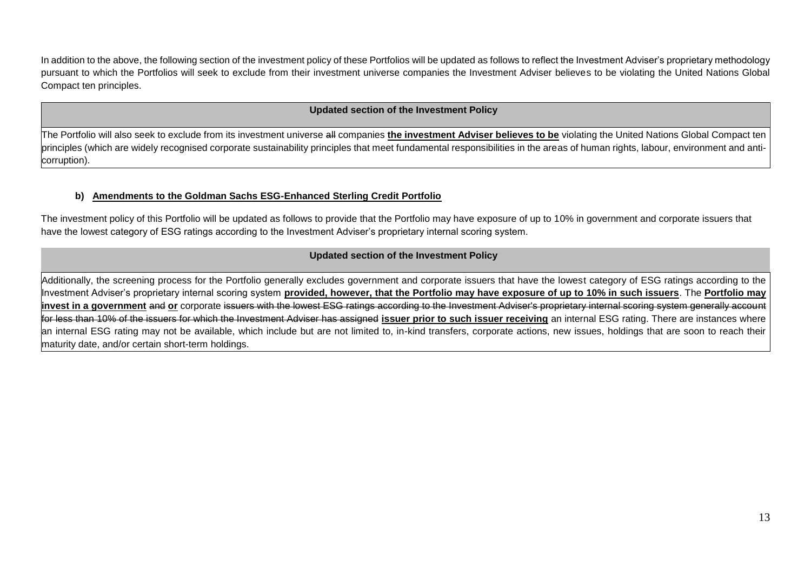In addition to the above, the following section of the investment policy of these Portfolios will be updated as follows to reflect the Investment Adviser's proprietary methodology pursuant to which the Portfolios will seek to exclude from their investment universe companies the Investment Adviser believes to be violating the United Nations Global Compact ten principles.

### **Updated section of the Investment Policy**

The Portfolio will also seek to exclude from its investment universe all companies **the investment Adviser believes to be** violating the United Nations Global Compact ten principles (which are widely recognised corporate sustainability principles that meet fundamental responsibilities in the areas of human rights, labour, environment and anticorruption).

## **b) Amendments to the Goldman Sachs ESG-Enhanced Sterling Credit Portfolio**

The investment policy of this Portfolio will be updated as follows to provide that the Portfolio may have exposure of up to 10% in government and corporate issuers that have the lowest category of ESG ratings according to the Investment Adviser's proprietary internal scoring system.

### **Updated section of the Investment Policy**

Additionally, the screening process for the Portfolio generally excludes government and corporate issuers that have the lowest category of ESG ratings according to the Investment Adviser's proprietary internal scoring system **provided, however, that the Portfolio may have exposure of up to 10% in such issuers**. The **Portfolio may invest in a government** and or corporate issuers with the lowest ESG ratings according to the Investment Adviser's proprietary internal scoring system generally account for less than 10% of the issuers for which the Investment Adviser has assigned **issuer prior to such issuer receiving** an internal ESG rating. There are instances where an internal ESG rating may not be available, which include but are not limited to, in-kind transfers, corporate actions, new issues, holdings that are soon to reach their maturity date, and/or certain short-term holdings.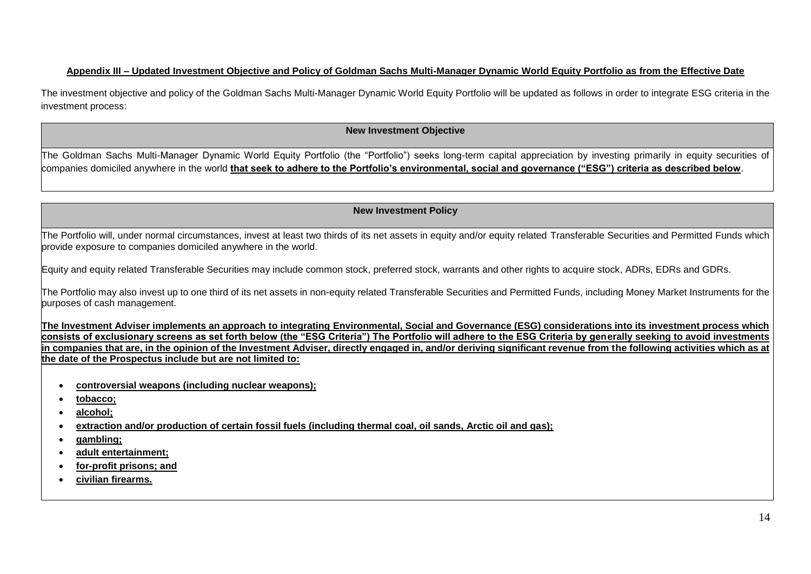# **Appendix III – Updated Investment Objective and Policy of Goldman Sachs Multi-Manager Dynamic World Equity Portfolio as from the Effective Date**

The investment objective and policy of the Goldman Sachs Multi-Manager Dynamic World Equity Portfolio will be updated as follows in order to integrate ESG criteria in the investment process:

## **New Investment Objective**

The Goldman Sachs Multi-Manager Dynamic World Equity Portfolio (the "Portfolio") seeks long-term capital appreciation by investing primarily in equity securities of companies domiciled anywhere in the world **that seek to adhere to the Portfolio's environmental, social and governance ("ESG") criteria as described below**.

# **New Investment Policy**

The Portfolio will, under normal circumstances, invest at least two thirds of its net assets in equity and/or equity related Transferable Securities and Permitted Funds which provide exposure to companies domiciled anywhere in the world.

Equity and equity related Transferable Securities may include common stock, preferred stock, warrants and other rights to acquire stock, ADRs, EDRs and GDRs.

The Portfolio may also invest up to one third of its net assets in non-equity related Transferable Securities and Permitted Funds, including Money Market Instruments for the purposes of cash management.

**The Investment Adviser implements an approach to integrating Environmental, Social and Governance (ESG) considerations into its investment process which consists of exclusionary screens as set forth below (the "ESG Criteria") The Portfolio will adhere to the ESG Criteria by generally seeking to avoid investments in companies that are, in the opinion of the Investment Adviser, directly engaged in, and/or deriving significant revenue from the following activities which as at the date of the Prospectus include but are not limited to:**

- **controversial weapons (including nuclear weapons);**
- **tobacco;**
- **alcohol;**
- **extraction and/or production of certain fossil fuels (including thermal coal, oil sands, Arctic oil and gas);**
- **gambling;**
- **adult entertainment;**
- **for-profit prisons; and**
- **civilian firearms.**